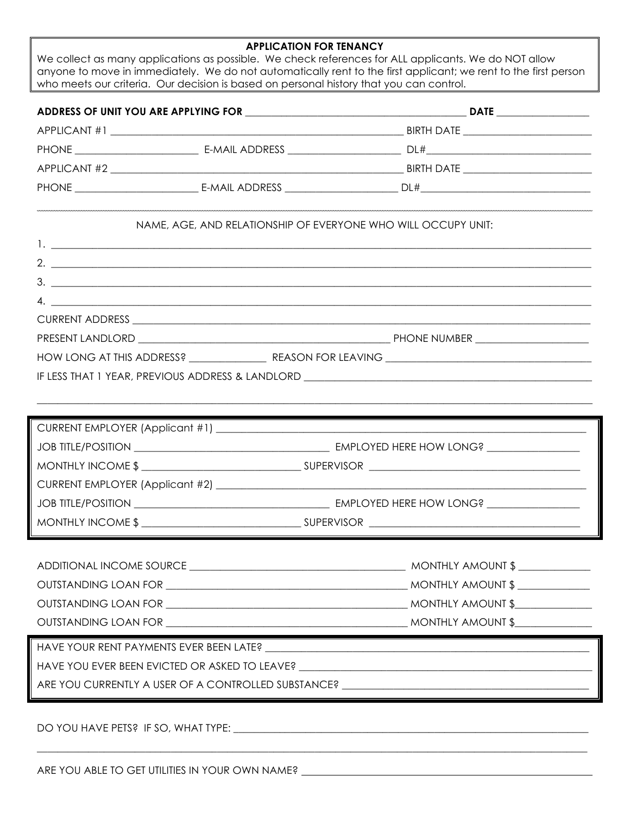## **APPLICATION FOR TENANCY**

We collect as many applications as possible. We check references for ALL applicants. We do NOT allow anyone to move in immediately. We do not automatically rent to the first applicant; we rent to the first person who meets our criteria. Our decision is based on personal history that you can control.

| ADDRESS OF UNIT YOU ARE APPLYING FOR |                                                                                                                 | <b>DATE</b>                    |  |
|--------------------------------------|-----------------------------------------------------------------------------------------------------------------|--------------------------------|--|
|                                      |                                                                                                                 |                                |  |
| PHONE _________________________      |                                                                                                                 | DL# _________________________  |  |
|                                      |                                                                                                                 | <b>BIRTH DATE</b>              |  |
| <b>PHONE Example 2014</b>            | E-MAIL ADDRESS FOR THE MAIL AND THE STATE OF THE STATE OF THE STATE OF THE STATE OF THE STATE OF THE STATE OF T | DL# __________________________ |  |
|                                      |                                                                                                                 |                                |  |

## NAME, AGE, AND RELATIONSHIP OF EVERYONE WHO WILL OCCUPY UNIT:

| $2.$ $\overline{\phantom{a}}$                                                     |  |
|-----------------------------------------------------------------------------------|--|
| $3.$ $\overline{\phantom{a}}$                                                     |  |
| $\mathcal{A}$ .                                                                   |  |
|                                                                                   |  |
|                                                                                   |  |
|                                                                                   |  |
| IF LESS THAT 1 YEAR, PREVIOUS ADDRESS & LANDLORD ________________________________ |  |
|                                                                                   |  |

| EMPLOYED HERE HOW LONG? ________________ |
|------------------------------------------|
|                                          |
|                                          |
| EMPLOYED HERE HOW LONG?                  |
|                                          |

 $\_$  ,  $\_$  ,  $\_$  ,  $\_$  ,  $\_$  ,  $\_$  ,  $\_$  ,  $\_$  ,  $\_$  ,  $\_$  ,  $\_$  ,  $\_$  ,  $\_$  ,  $\_$  ,  $\_$  ,  $\_$  ,  $\_$  ,  $\_$  ,  $\_$  ,  $\_$  ,  $\_$  ,  $\_$  ,  $\_$  ,  $\_$  ,  $\_$  ,  $\_$  ,  $\_$  ,  $\_$  ,  $\_$  ,  $\_$  ,  $\_$  ,  $\_$  ,  $\_$  ,  $\_$  ,  $\_$  ,  $\_$  ,  $\_$  ,

|                                               | $MONTHLY AMOUNT$ \$ |
|-----------------------------------------------|---------------------|
|                                               | $MONTHLY AMOUNT$ \$ |
|                                               | MONTHLY AMOUNT \$   |
|                                               | MONTHLY AMOUNT \$   |
|                                               |                     |
| HAVE YOU EVER BEEN EVICTED OR ASKED TO LEAVE? |                     |

\_\_\_\_\_\_\_\_\_\_\_\_\_\_\_\_\_\_\_\_\_\_\_\_\_\_\_\_\_\_\_\_\_\_\_\_\_\_\_\_\_\_\_\_\_\_\_\_\_\_\_\_\_\_\_\_\_\_\_\_\_\_\_\_\_\_\_\_\_\_\_\_\_\_\_\_\_\_\_\_\_\_\_\_\_\_\_\_\_\_\_\_\_\_\_\_\_\_\_\_\_\_\_\_\_\_\_

ARE YOU CURRENTLY A USER OF A CONTROLLED SUBSTANCE?

DO YOU HAVE PETS? IF SO, WHAT TYPE: \_\_\_\_\_\_\_\_\_\_\_\_\_\_\_\_\_\_\_\_\_\_\_\_\_\_\_\_\_\_\_\_\_\_\_\_\_\_\_\_\_\_\_\_\_\_\_\_\_\_\_\_\_\_\_\_\_\_\_\_\_\_\_\_\_\_\_\_\_

ARE YOU ABLE TO GET UTILITIES IN YOUR OWN NAME? \_\_\_\_\_\_\_\_\_\_\_\_\_\_\_\_\_\_\_\_\_\_\_\_\_\_\_\_\_\_\_\_